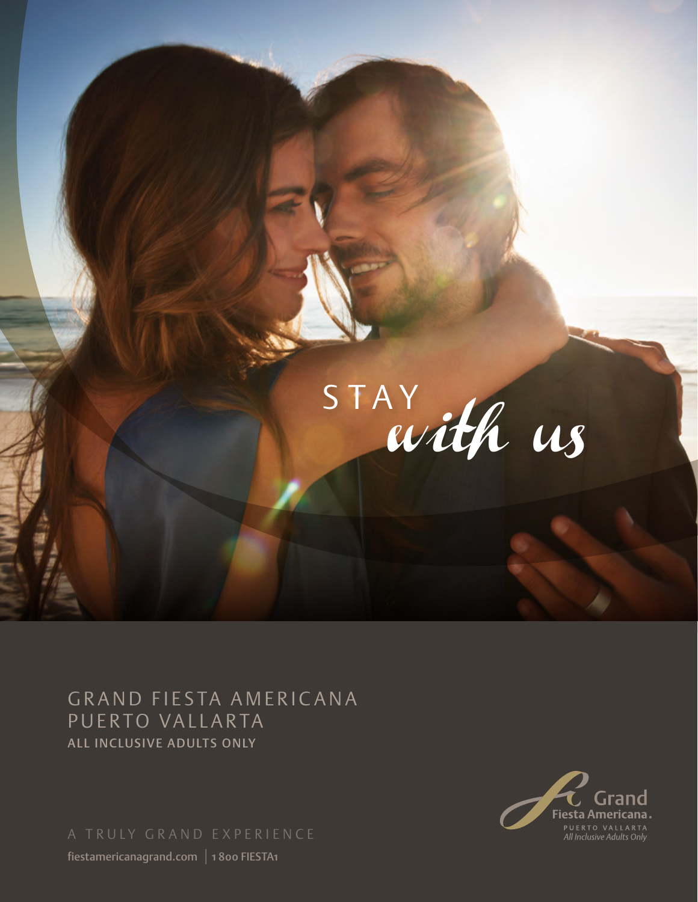

GRAND FIESTA AMERICANA PUERTO VALLARTA ALL INCLUSIVE ADULTS ONLY

fiestamericanagrand.com | 1 800 FIESTA1